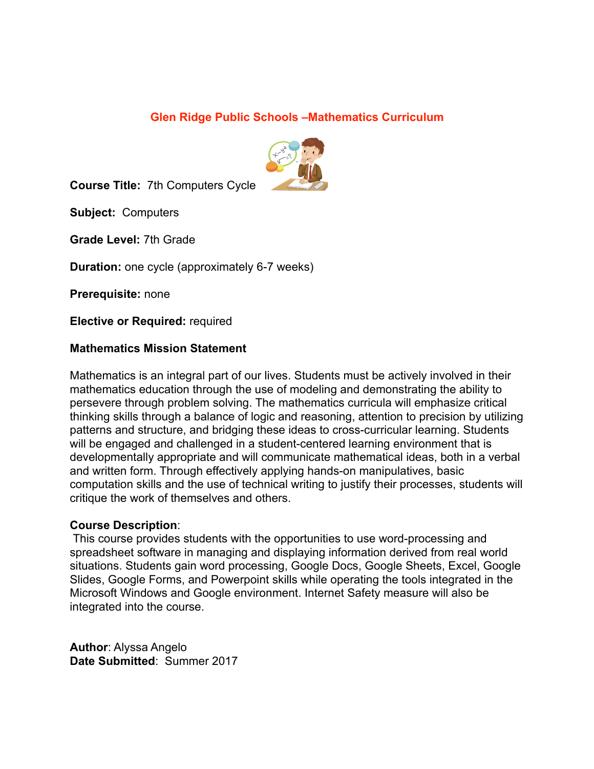### **Glen Ridge Public Schools –Mathematics Curriculum**



**Course Title:** 7th Computers Cycle

**Subject:** Computers

**Grade Level:** 7th Grade

**Duration:** one cycle (approximately 6-7 weeks)

**Prerequisite:** none

**Elective or Required:** required

#### **Mathematics Mission Statement**

Mathematics is an integral part of our lives. Students must be actively involved in their mathematics education through the use of modeling and demonstrating the ability to persevere through problem solving. The mathematics curricula will emphasize critical thinking skills through a balance of logic and reasoning, attention to precision by utilizing patterns and structure, and bridging these ideas to cross-curricular learning. Students will be engaged and challenged in a student-centered learning environment that is developmentally appropriate and will communicate mathematical ideas, both in a verbal and written form. Through effectively applying hands-on manipulatives, basic computation skills and the use of technical writing to justify their processes, students will critique the work of themselves and others.

#### **Course Description**:

 This course provides students with the opportunities to use word-processing and spreadsheet software in managing and displaying information derived from real world situations. Students gain word processing, Google Docs, Google Sheets, Excel, Google Slides, Google Forms, and Powerpoint skills while operating the tools integrated in the Microsoft Windows and Google environment. Internet Safety measure will also be integrated into the course.

**Author**: Alyssa Angelo **Date Submitted**: Summer 2017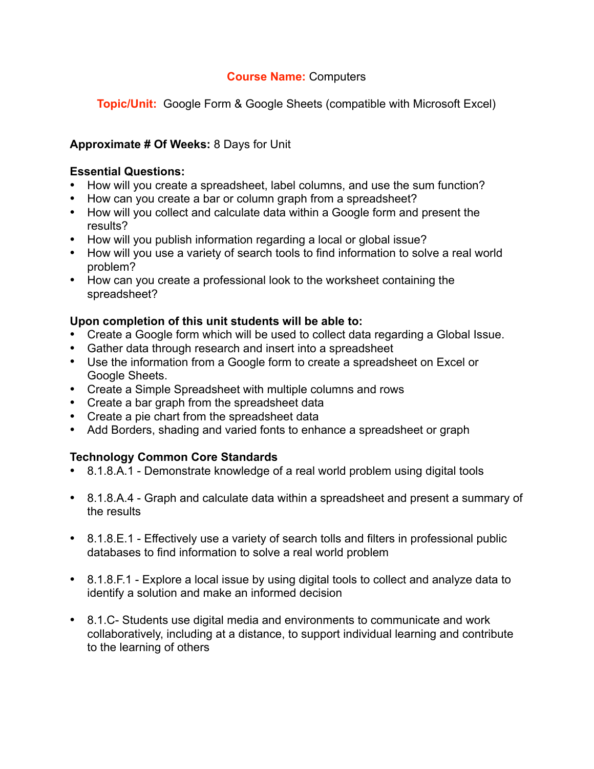**Topic/Unit:** Google Form & Google Sheets (compatible with Microsoft Excel)

# **Approximate # Of Weeks:** 8 Days for Unit

### **Essential Questions:**

- How will you create a spreadsheet, label columns, and use the sum function?
- How can you create a bar or column graph from a spreadsheet?
- How will you collect and calculate data within a Google form and present the results?
- How will you publish information regarding a local or global issue?
- How will you use a variety of search tools to find information to solve a real world problem?
- How can you create a professional look to the worksheet containing the spreadsheet?

### **Upon completion of this unit students will be able to:**

- Create a Google form which will be used to collect data regarding a Global Issue.
- Gather data through research and insert into a spreadsheet
- Use the information from a Google form to create a spreadsheet on Excel or Google Sheets.
- Create a Simple Spreadsheet with multiple columns and rows
- Create a bar graph from the spreadsheet data
- Create a pie chart from the spreadsheet data
- Add Borders, shading and varied fonts to enhance a spreadsheet or graph

# **Technology Common Core Standards**

- 8.1.8.A.1 Demonstrate knowledge of a real world problem using digital tools
- 8.1.8.A.4 Graph and calculate data within a spreadsheet and present a summary of the results
- 8.1.8.E.1 Effectively use a variety of search tolls and filters in professional public databases to find information to solve a real world problem
- 8.1.8.F.1 Explore a local issue by using digital tools to collect and analyze data to identify a solution and make an informed decision
- 8.1.C- Students use digital media and environments to communicate and work collaboratively, including at a distance, to support individual learning and contribute to the learning of others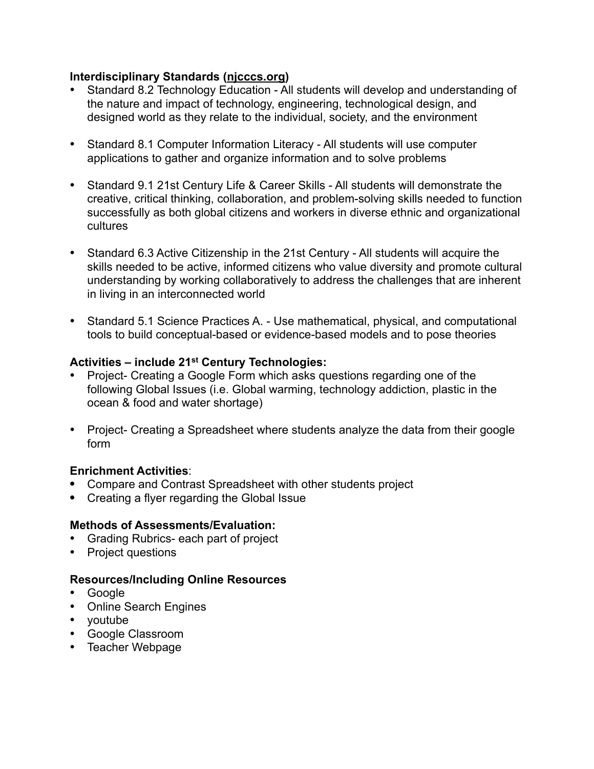### **Interdisciplinary Standards [\(njcccs.org](http://njcccs.org))**

- Standard 8.2 Technology Education All students will develop and understanding of the nature and impact of technology, engineering, technological design, and designed world as they relate to the individual, society, and the environment
- Standard 8.1 Computer Information Literacy All students will use computer applications to gather and organize information and to solve problems
- Standard 9.1 21st Century Life & Career Skills All students will demonstrate the creative, critical thinking, collaboration, and problem-solving skills needed to function successfully as both global citizens and workers in diverse ethnic and organizational cultures
- Standard 6.3 Active Citizenship in the 21st Century All students will acquire the skills needed to be active, informed citizens who value diversity and promote cultural understanding by working collaboratively to address the challenges that are inherent in living in an interconnected world
- Standard 5.1 Science Practices A. Use mathematical, physical, and computational tools to build conceptual-based or evidence-based models and to pose theories

# **Activities – include 21st Century Technologies:**

- Project- Creating a Google Form which asks questions regarding one of the following Global Issues (i.e. Global warming, technology addiction, plastic in the ocean & food and water shortage)
- Project- Creating a Spreadsheet where students analyze the data from their google form

### **Enrichment Activities**:

- **•** Compare and Contrast Spreadsheet with other students project
- **•** Creating a flyer regarding the Global Issue

# **Methods of Assessments/Evaluation:**

- Grading Rubrics- each part of project
- Project questions

- Google
- Online Search Engines
- youtube
- Google Classroom
- Teacher Webpage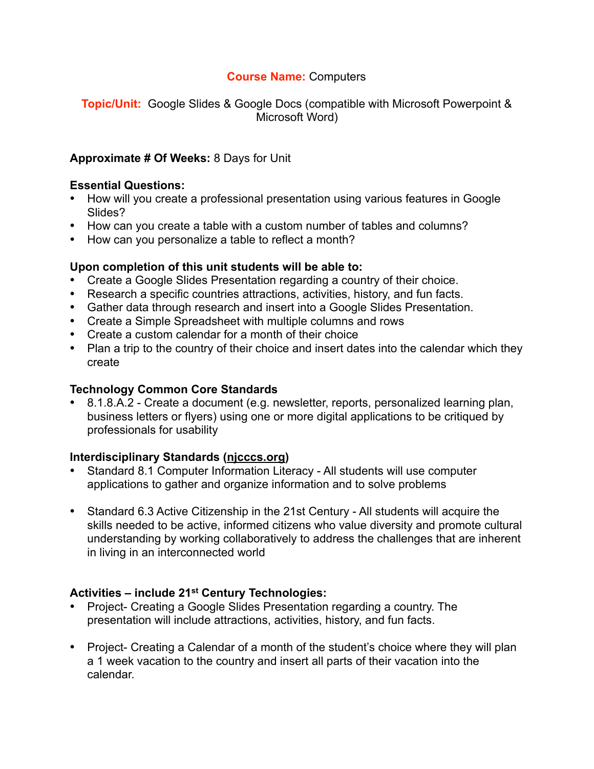**Topic/Unit:** Google Slides & Google Docs (compatible with Microsoft Powerpoint & Microsoft Word)

### **Approximate # Of Weeks:** 8 Days for Unit

#### **Essential Questions:**

- How will you create a professional presentation using various features in Google Slides?
- How can you create a table with a custom number of tables and columns?
- How can you personalize a table to reflect a month?

#### **Upon completion of this unit students will be able to:**

- Create a Google Slides Presentation regarding a country of their choice.
- Research a specific countries attractions, activities, history, and fun facts.
- Gather data through research and insert into a Google Slides Presentation.
- Create a Simple Spreadsheet with multiple columns and rows
- Create a custom calendar for a month of their choice
- Plan a trip to the country of their choice and insert dates into the calendar which they create

#### **Technology Common Core Standards**

• 8.1.8.A.2 - Create a document (e.g. newsletter, reports, personalized learning plan, business letters or flyers) using one or more digital applications to be critiqued by professionals for usability

#### **Interdisciplinary Standards [\(njcccs.org](http://njcccs.org))**

- Standard 8.1 Computer Information Literacy All students will use computer applications to gather and organize information and to solve problems
- Standard 6.3 Active Citizenship in the 21st Century All students will acquire the skills needed to be active, informed citizens who value diversity and promote cultural understanding by working collaboratively to address the challenges that are inherent in living in an interconnected world

### **Activities – include 21st Century Technologies:**

- Project- Creating a Google Slides Presentation regarding a country. The presentation will include attractions, activities, history, and fun facts.
- Project- Creating a Calendar of a month of the student's choice where they will plan a 1 week vacation to the country and insert all parts of their vacation into the calendar.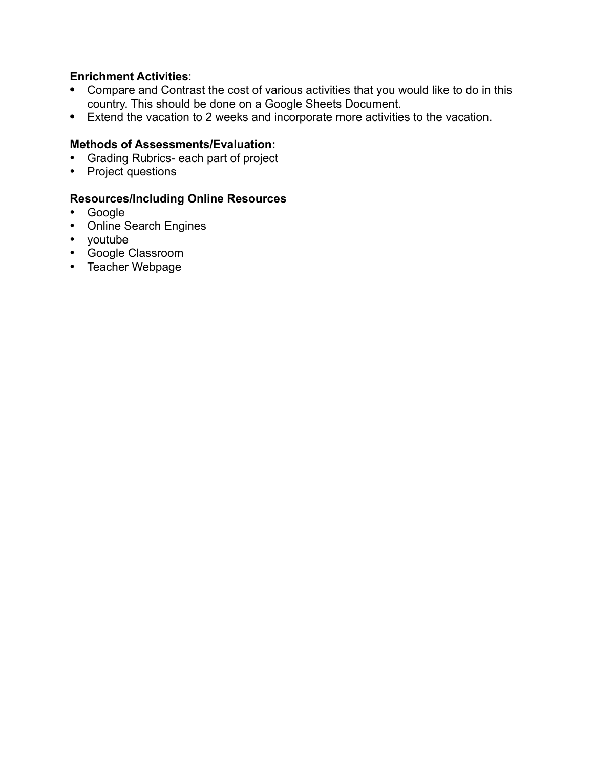## **Enrichment Activities**:

- **•** Compare and Contrast the cost of various activities that you would like to do in this country. This should be done on a Google Sheets Document.
- **•** Extend the vacation to 2 weeks and incorporate more activities to the vacation.

### **Methods of Assessments/Evaluation:**

- Grading Rubrics- each part of project
- Project questions

- Google
- Online Search Engines
- youtube
- Google Classroom
- Teacher Webpage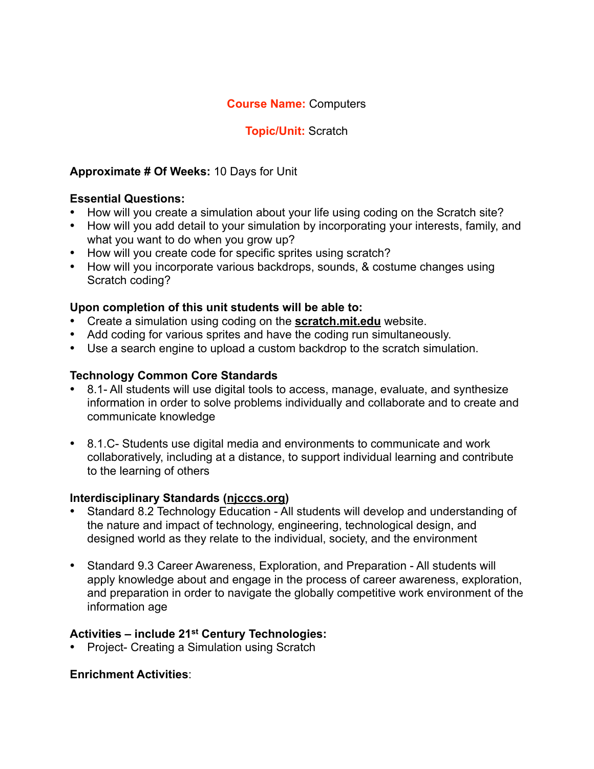# **Topic/Unit:** Scratch

## **Approximate # Of Weeks:** 10 Days for Unit

## **Essential Questions:**

- How will you create a simulation about your life using coding on the Scratch site?
- How will you add detail to your simulation by incorporating your interests, family, and what you want to do when you grow up?
- How will you create code for specific sprites using scratch?
- How will you incorporate various backdrops, sounds, & costume changes using Scratch coding?

### **Upon completion of this unit students will be able to:**

- Create a simulation using coding on the **[scratch.mit.edu](http://scratch.mit.edu)** website.
- Add coding for various sprites and have the coding run simultaneously.
- Use a search engine to upload a custom backdrop to the scratch simulation.

# **Technology Common Core Standards**

- 8.1- All students will use digital tools to access, manage, evaluate, and synthesize information in order to solve problems individually and collaborate and to create and communicate knowledge
- 8.1.C- Students use digital media and environments to communicate and work collaboratively, including at a distance, to support individual learning and contribute to the learning of others

### **Interdisciplinary Standards [\(njcccs.org](http://njcccs.org))**

- Standard 8.2 Technology Education All students will develop and understanding of the nature and impact of technology, engineering, technological design, and designed world as they relate to the individual, society, and the environment
- Standard 9.3 Career Awareness, Exploration, and Preparation All students will apply knowledge about and engage in the process of career awareness, exploration, and preparation in order to navigate the globally competitive work environment of the information age

# **Activities – include 21st Century Technologies:**

• Project- Creating a Simulation using Scratch

### **Enrichment Activities**: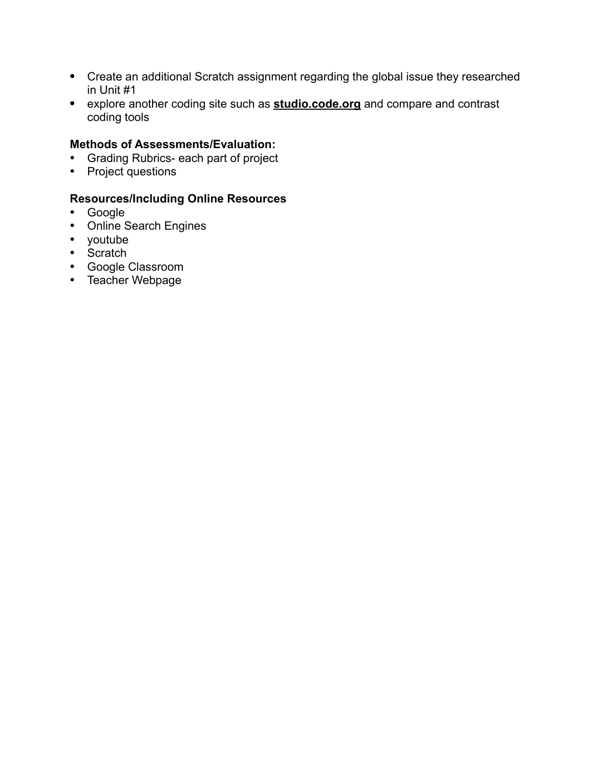- **•** Create an additional Scratch assignment regarding the global issue they researched in Unit #1
- **•** explore another coding site such as **[studio.code.org](http://studio.code.org)** and compare and contrast coding tools

### **Methods of Assessments/Evaluation:**

- Grading Rubrics- each part of project
- Project questions

- Google
- Online Search Engines
- youtube
- Scratch
- Google Classroom
- Teacher Webpage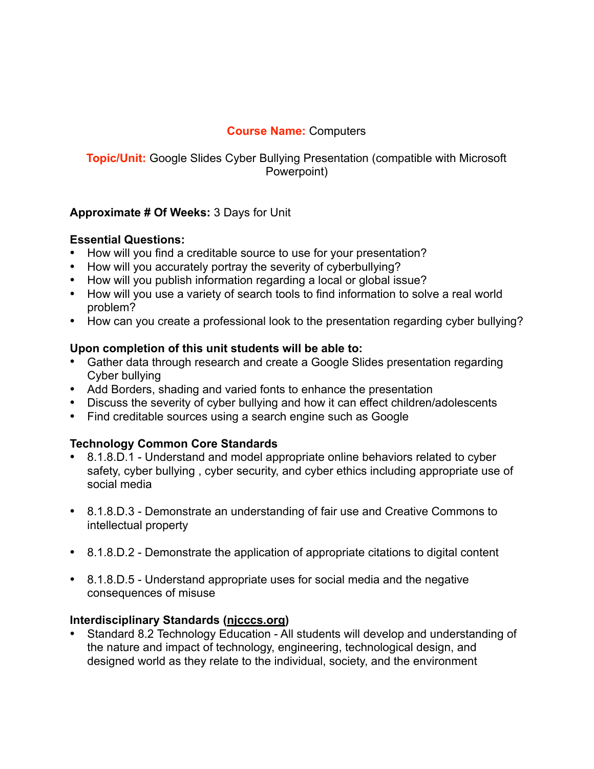# **Topic/Unit:** Google Slides Cyber Bullying Presentation (compatible with Microsoft Powerpoint)

# **Approximate # Of Weeks:** 3 Days for Unit

### **Essential Questions:**

- How will you find a creditable source to use for your presentation?
- How will you accurately portray the severity of cyberbullying?
- How will you publish information regarding a local or global issue?
- How will you use a variety of search tools to find information to solve a real world problem?
- How can you create a professional look to the presentation regarding cyber bullying?

### **Upon completion of this unit students will be able to:**

- Gather data through research and create a Google Slides presentation regarding Cyber bullying
- Add Borders, shading and varied fonts to enhance the presentation
- Discuss the severity of cyber bullying and how it can effect children/adolescents
- Find creditable sources using a search engine such as Google

# **Technology Common Core Standards**

- 8.1.8.D.1 Understand and model appropriate online behaviors related to cyber safety, cyber bullying , cyber security, and cyber ethics including appropriate use of social media
- 8.1.8.D.3 Demonstrate an understanding of fair use and Creative Commons to intellectual property
- 8.1.8.D.2 Demonstrate the application of appropriate citations to digital content
- 8.1.8.D.5 Understand appropriate uses for social media and the negative consequences of misuse

# **Interdisciplinary Standards [\(njcccs.org](http://njcccs.org))**

• Standard 8.2 Technology Education - All students will develop and understanding of the nature and impact of technology, engineering, technological design, and designed world as they relate to the individual, society, and the environment